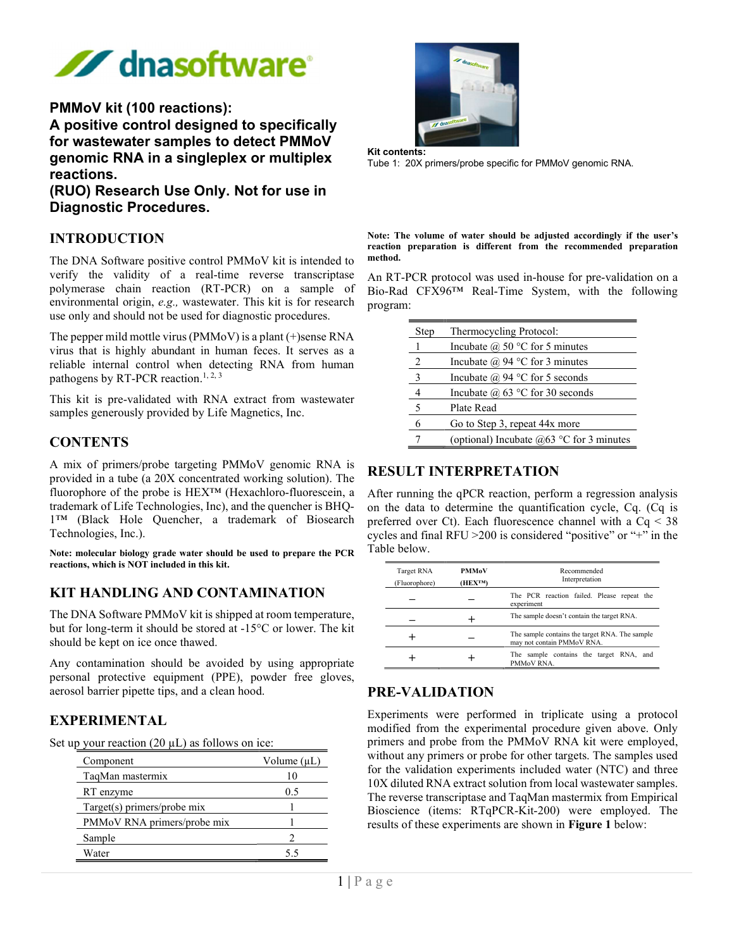

#### PMMoV kit (100 reactions):

A positive control designed to specifically for wastewater samples to detect PMMoV genomic RNA in a singleplex or multiplex reactions.

(RUO) Research Use Only. Not for use in Diagnostic Procedures.

#### INTRODUCTION

The DNA Software positive control PMMoV kit is intended to verify the validity of a real-time reverse transcriptase polymerase chain reaction (RT-PCR) on a sample of environmental origin, e.g., wastewater. This kit is for research use only and should not be used for diagnostic procedures.

The pepper mild mottle virus (PMMoV) is a plant (+)sense RNA virus that is highly abundant in human feces. It serves as a reliable internal control when detecting RNA from human pathogens by RT-PCR reaction.<sup>1, 2, 3</sup>

This kit is pre-validated with RNA extract from wastewater samples generously provided by Life Magnetics, Inc.

#### **CONTENTS**

A mix of primers/probe targeting PMMoV genomic RNA is provided in a tube (a 20X concentrated working solution). The fluorophore of the probe is HEX™ (Hexachloro-fluorescein, a trademark of Life Technologies, Inc), and the quencher is BHQ-1™ (Black Hole Quencher, a trademark of Biosearch Technologies, Inc.).

Note: molecular biology grade water should be used to prepare the PCR reactions, which is NOT included in this kit.

#### KIT HANDLING AND CONTAMINATION

The DNA Software PMMoV kit is shipped at room temperature, but for long-term it should be stored at -15°C or lower. The kit should be kept on ice once thawed.

Any contamination should be avoided by using appropriate personal protective equipment (PPE), powder free gloves, aerosol barrier pipette tips, and a clean hood.

#### EXPERIMENTAL

| Set up your reaction $(20 \mu L)$ as follows on ice: |  |  |
|------------------------------------------------------|--|--|
|                                                      |  |  |

| Component                   | Volume $(\mu L)$ |  |
|-----------------------------|------------------|--|
| TaqMan mastermix            | 10               |  |
| RT enzyme                   | 0.5              |  |
| Target(s) primers/probe mix |                  |  |
| PMMoV RNA primers/probe mix |                  |  |
| Sample                      |                  |  |
| Water                       | 55               |  |



Kit contents:

Tube 1: 20X primers/probe specific for PMMoV genomic RNA.

Note: The volume of water should be adjusted accordingly if the user's reaction preparation is different from the recommended preparation method.

An RT-PCR protocol was used in-house for pre-validation on a Bio-Rad CFX96™ Real-Time System, with the following program:

| Step | Thermocycling Protocol:                    |  |  |
|------|--------------------------------------------|--|--|
|      | Incubate $(a)$ 50 °C for 5 minutes         |  |  |
| 2    | Incubate $\omega$ 94 °C for 3 minutes      |  |  |
| 3    | Incubate $\omega$ 94 °C for 5 seconds      |  |  |
|      | Incubate @ $63$ °C for 30 seconds          |  |  |
| 5    | Plate Read                                 |  |  |
|      | Go to Step 3, repeat 44x more              |  |  |
|      | (optional) Incubate $@63$ °C for 3 minutes |  |  |

### RESULT INTERPRETATION

After running the qPCR reaction, perform a regression analysis on the data to determine the quantification cycle, Cq. (Cq is preferred over Ct). Each fluorescence channel with a Cq < 38 cycles and final RFU >200 is considered "positive" or "+" in the Table below.

| Target RNA<br>(Fluorophore) | <b>PMMoV</b><br>(HEX <sup>TM</sup> ) | Recommended<br>Interpretation                                                |  |
|-----------------------------|--------------------------------------|------------------------------------------------------------------------------|--|
|                             |                                      | The PCR reaction failed. Please repeat the<br>experiment                     |  |
|                             |                                      | The sample doesn't contain the target RNA.                                   |  |
|                             |                                      | The sample contains the target RNA. The sample<br>may not contain PMMoV RNA. |  |
|                             |                                      | The sample contains the target RNA, and<br>PMMoV RNA.                        |  |

## PRE-VALIDATION

Experiments were performed in triplicate using a protocol modified from the experimental procedure given above. Only primers and probe from the PMMoV RNA kit were employed, without any primers or probe for other targets. The samples used for the validation experiments included water (NTC) and three 10X diluted RNA extract solution from local wastewater samples. The reverse transcriptase and TaqMan mastermix from Empirical Bioscience (items: RTqPCR-Kit-200) were employed. The results of these experiments are shown in Figure 1 below: